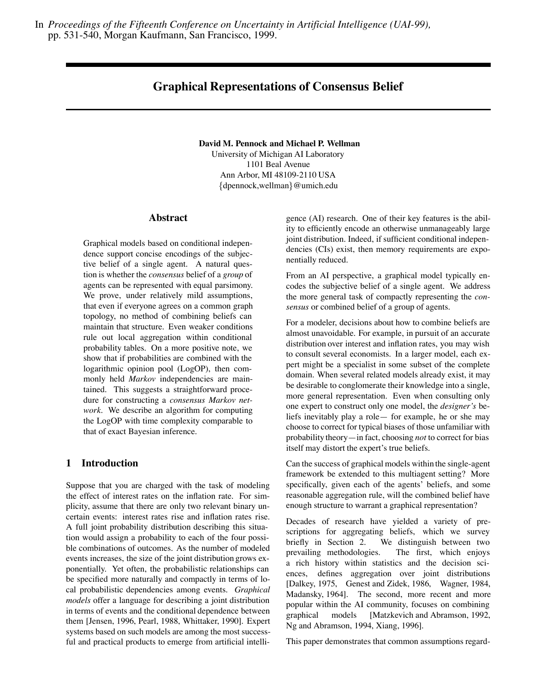In *Proceedings of the Fifteenth Conference on Uncertainty in Artificial Intelligence (UAI-99),* pp. 531-540, Morgan Kaufmann, San Francisco, 1999.

# **Graphical Representations of Consensus Belief**

**David M. Pennock and Michael P. Wellman**

University of Michigan AI Laboratory 1101 Beal Avenue Ann Arbor, MI 48109-2110 USA  $\{dpenrock, wellman\}$ @umich.edu

#### **Abstract**

Graphical models based on conditional independence support concise encodings of the subjective belief of a single agent. A natural question is whether the *consensus* belief of a *group* of agents can be represented with equal parsimony. We prove, under relatively mild assumptions, that even if everyone agrees on a common graph topology, no method of combining beliefs can maintain that structure. Even weaker conditions rule out local aggregation within conditional probability tables. On a more positive note, we show that if probabilities are combined with the logarithmic opinion pool (LogOP), then commonly held *Markov* independencies are maintained. This suggests a straightforward procedure for constructing a *consensus Markov network*. We describe an algorithm for computing the LogOP with time complexity comparable to that of exact Bayesian inference.

## **1 Introduction**

Suppose that you are charged with the task of modeling the effect of interest rates on the inflation rate. For simplicity, assume that there are only two relevant binary uncertain events: interest rates rise and inflation rates rise. A full joint probability distribution describing this situation would assign a probability to each of the four possible combinations of outcomes. As the number of modeled events increases, the size of the joint distribution grows exponentially. Yet often, the probabilistic relationships can be specified more naturally and compactly in terms of local probabilistic dependencies among events. *Graphical models* offer a language for describing a joint distribution in terms of events and the conditional dependence between them [Jensen, 1996, Pearl, 1988, Whittaker, 1990]. Expert systems based on such models are among the most successful and practical products to emerge from artificial intelligence (AI) research. One of their key features is the ability to efficiently encode an otherwise unmanageably large joint distribution. Indeed, if sufficient conditional independencies (CIs) exist, then memory requirements are exponentially reduced.

From an AI perspective, a graphical model typically encodes the subjective belief of a single agent. We address the more general task of compactly representing the *consensus* or combined belief of a group of agents.

For a modeler, decisions about how to combine beliefs are almost unavoidable. For example, in pursuit of an accurate distribution over interest and inflation rates, you may wish to consult several economists. In a larger model, each expert might be a specialist in some subset of the complete domain. When several related models already exist, it may be desirable to conglomerate their knowledge into a single, more general representation. Even when consulting only one expert to construct only one model, the *designer's* beliefs inevitably play a role— for example, he or she may choose to correct for typical biases of those unfamiliar with probability theory—in fact, choosing *not* to correct for bias itself may distort the expert's true beliefs.

Can the success of graphical models within the single-agent framework be extended to this multiagent setting? More specifically, given each of the agents' beliefs, and some reasonable aggregation rule, will the combined belief have enough structure to warrant a graphical representation?

Decades of research have yielded a variety of prescriptions for aggregating beliefs, which we survey briefly in Section 2. We distinguish between two prevailing methodologies. The first, which enjoys a rich history within statistics and the decision sciences, defines aggregation over joint distributions [Dalkey, 1975, Genest and Zidek, 1986, Wagner, 1984, Madansky, 1964]. The second, more recent and more popular within the AI community, focuses on combining graphical models [Matzkevich and Abramson, 1992, Ng and Abramson, 1994, Xiang, 1996].

This paper demonstrates that common assumptions regard-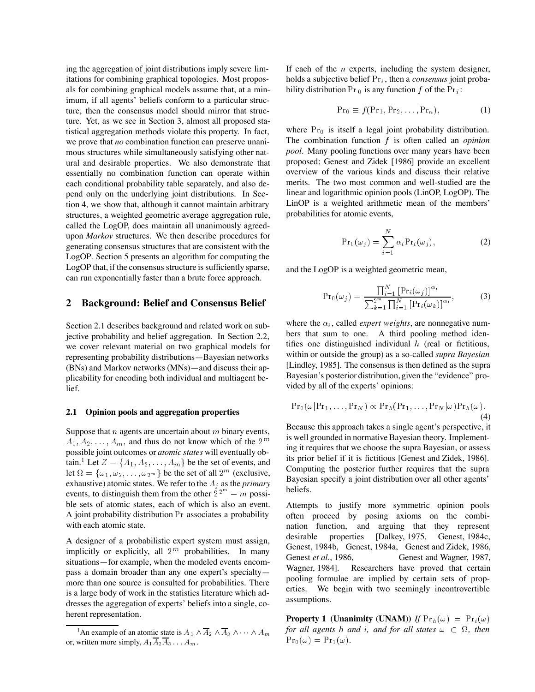ing the aggregation of joint distributions imply severe limitations for combining graphical topologies. Most proposals for combining graphical models assume that, at a minimum, if all agents' beliefs conform to a particular structure, then the consensus model should mirror that structure. Yet, as we see in Section 3, almost all proposed statistical aggregation methods violate this property. In fact, we prove that *no* combination function can preserve unanimous structures while simultaneously satisfying other natural and desirable properties. We also demonstrate that essentially no combination function can operate within each conditional probability table separately, and also depend only on the underlying joint distributions. In Section 4, we show that, although it cannot maintain arbitrary structures, a weighted geometric average aggregation rule, called the LogOP, does maintain all unanimously agreedupon *Markov* structures. We then describe procedures for generating consensus structures that are consistent with the LogOP. Section 5 presents an algorithm for computing the LogOP that, if the consensus structure is sufficiently sparse, can run exponentially faster than a brute force approach.

## **2 Background: Belief and Consensus Belief**

Section 2.1 describes background and related work on subjective probability and belief aggregation. In Section 2.2, we cover relevant material on two graphical models for representing probability distributions—Bayesian networks (BNs) and Markov networks (MNs)—and discuss their applicability for encoding both individual and multiagent belief.

#### **2.1 Opinion pools and aggregation properties**

Suppose that  $n$  agents are uncertain about  $m$  binary events,  $A_1, A_2, \ldots, A_m$ , and thus do not know which of the  $2^m$ possible joint outcomes or *atomic states* will eventually obtain.<sup>1</sup> Let  $Z = \{A_1, A_2, \ldots, A_m\}$  be the set of events, and let  $\Omega = {\omega_1, \omega_2, \ldots, \omega_{2^m}}$  be the set of all  $2^m$  (exclusive, exhaustive) atomic states. We refer to the  $A_i$  as the *primary* events, to distinguish them from the other  $2^{2^m} - m$  possible sets of atomic states, each of which is also an event. A joint probability distribution Pr associates a probability with each atomic state.

A designer of a probabilistic expert system must assign, implicitly or explicitly, all  $2^m$  probabilities. In many situations—for example, when the modeled events encompass a domain broader than any one expert's specialty more than one source is consulted for probabilities. There is a large body of work in the statistics literature which addresses the aggregation of experts' beliefs into a single, coherent representation.

If each of the  $n$  experts, including the system designer, holds a subjective belief Pr<sub>i</sub>, then a *consensus* joint probability distribution  $Pr_0$  is any function f of the  $Pr_i$ :

$$
\Pr_0 \equiv f(\Pr_1, \Pr_2, \dots, \Pr_n), \tag{1}
$$

where  $Pr_0$  is itself a legal joint probability distribution. The combination function f is often called an *opinion pool*. Many pooling functions over many years have been proposed; Genest and Zidek [1986] provide an excellent overview of the various kinds and discuss their relative merits. The two most common and well-studied are the linear and logarithmic opinion pools (LinOP, LogOP). The LinOP is a weighted arithmetic mean of the members' probabilities for atomic events,

$$
Pr_0(\omega_j) = \sum_{i=1}^{N} \alpha_i Pr_i(\omega_j),
$$
 (2)

and the LogOP is a weighted geometric mean,

$$
\Pr_0(\omega_j) = \frac{\prod_{i=1}^N \left[ \Pr_i(\omega_j) \right]^{\alpha_i}}{\sum_{k=1}^{2^m} \prod_{i=1}^N \left[ \Pr_i(\omega_k) \right]^{\alpha_i}},\tag{3}
$$

where the  $\alpha_i$ , called *expert weights*, are nonnegative numbers that sum to one. A third pooling method identifies one distinguished individual  $h$  (real or fictitious, within or outside the group) as a so-called *supra Bayesian* [Lindley, 1985]. The consensus is then defined as the supra Bayesian's posterior distribution, given the "evidence" provided by all of the experts' opinions:

$$
Pr_0(\omega|Pr_1,\ldots,Pr_N) \propto Pr_h(Pr_1,\ldots,Pr_N|\omega)Pr_h(\omega).
$$
\n(4)

Because this approach takes a single agent's perspective, it is well grounded in normative Bayesian theory. Implementing it requires that we choose the supra Bayesian, or assess its prior belief if it is fictitious [Genest and Zidek, 1986]. Computing the posterior further requires that the supra Bayesian specify a joint distribution over all other agents' beliefs.

Attempts to justify more symmetric opinion pools often proceed by posing axioms on the combination function, and arguing that they represent desirable properties [Dalkey, 1975, Genest, 1984c, Genest, 1984b, Genest, 1984a, Genest and Zidek, 1986, Genest *et al.*, 1986, Genest and Wagner, 1987, Wagner, 1984]. Researchers have proved that certain pooling formulae are implied by certain sets of properties. We begin with two seemingly incontrovertible assumptions.

**Property 1 (Unanimity (UNAM))** If  $Pr_h(\omega) = Pr_i(\omega)$ *for all agents h and i, and for all states*  $\omega \in \Omega$ *, then*  $Pr_0(\omega) = Pr_1(\omega).$ 

<sup>&</sup>lt;sup>1</sup>An example of an atomic state is  $A_1 \wedge \overline{A}_2 \wedge \overline{A}_3 \wedge \cdots \wedge A_m$  J or, written more simply,  $A_1 A_2 A_3 \dots A_m$ .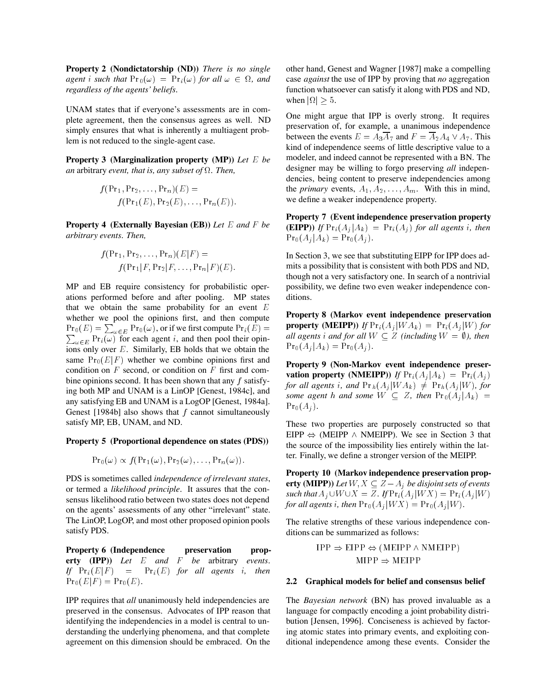**Property 2 (Nondictatorship (ND))** *There is no single*  $a$ *gent* i such that  $Pr_0(\omega) = Pr_i(\omega)$  for all  $\omega \in \Omega$ , and *regardless of the agents' beliefs.*

UNAM states that if everyone's assessments are in complete agreement, then the consensus agrees as well. ND simply ensures that what is inherently a multiagent problem is not reduced to the single-agent case.

**Property 3 (Marginalization property (MP))** *Let* <sup>E</sup> *be an* arbitrary *event, that is, any subset of*  $\Omega$ *. Then,* 

$$
f(\Pr_1, \Pr_2, \ldots, \Pr_n)(E) =
$$
  
 
$$
f(\Pr_1(E), \Pr_2(E), \ldots, \Pr_n(E)).
$$

**Property 4 (Externally Bayesian (EB))** *Let* E *and* F *be arbitrary events. Then,*

$$
f(\Pr_1, \Pr_2, \ldots, \Pr_n)(E|F) =
$$
  
 
$$
f(\Pr_1|F, \Pr_2|F, \ldots, \Pr_n|F)(E).
$$

MP and EB require consistency for probabilistic operations performed before and after pooling. MP states that we obtain the same probability for an event  $E$ whether we pool the opinions first, and then compute  $\Pr_0(E) = \sum_{\omega \in E} \Pr_0(\omega)$ , or if we first compute  $\Pr_i(E) =$   $\qquad \mathbf{P}$  $\psi_{\omega \in E}$  Pr<sub>i</sub>( $\omega$ ) for each agent *i*, and then pool their opinions only over  $E$ . Similarly, EB holds that we obtain the same  $Pr_0(E|F)$  whether we combine opinions first and condition on  $F$  second, or condition on  $F$  first and combine opinions second. It has been shown that any f satisfying both MP and UNAM is a LinOP [Genest, 1984c], and any satisfying EB and UNAM is a LogOP [Genest, 1984a]. Genest [1984b] also shows that  $f$  cannot simultaneously satisfy MP, EB, UNAM, and ND.

#### **Property 5 (Proportional dependence on states (PDS))**

$$
\mathrm{Pr}_0(\omega) \propto f(\mathrm{Pr}_1(\omega), \mathrm{Pr}_2(\omega), \ldots, \mathrm{Pr}_n(\omega)).
$$

PDS is sometimes called *independence of irrelevant states*, or termed a *likelihood principle*. It assures that the consensus likelihood ratio between two states does not depend on the agents' assessments of any other "irrelevant" state. The LinOP, LogOP, and most other proposed opinion pools satisfy PDS.

**Property 6 (Independence preservation property (IPP))** *Let* E *and* F *be* arbitrary *events. If*  $Pr_i(E|F) = Pr_i(E)$  *for all agents i, then*  $Pr_0(E|F) = Pr_0(E).$ 

IPP requires that *all* unanimously held independencies are preserved in the consensus. Advocates of IPP reason that identifying the independencies in a model is central to understanding the underlying phenomena, and that complete agreement on this dimension should be embraced. On the other hand, Genest and Wagner [1987] make a compelling case *against* the use of IPP by proving that *no* aggregation function whatsoever can satisfy it along with PDS and ND, function whatsoever can satisfy it along with PDS and ND, when  $|\Omega| \geq 5$ .

One might argue that IPP is overly strong. It requires preservation of, for example, a unanimous independence between the events  $E = A_3 \overline{A}_7$  and  $F = \overline{A}_2 A_4 \vee A_7$ . This kind of independence seems of little descriptive value to a modeler, and indeed cannot be represented with a BN. The designer may be willing to forgo preserving *all* independencies, being content to preserve independencies among the *primary* events,  $A_1, A_2, \ldots, A_m$ . With this in mind, we define a weaker independence property.

**Property 7 (Event independence preservation property (EIPP))** *If*  $Pr_i(A_i|A_k) = Pr_i(A_i)$  *for all agents i, then*  $\Pr_0(A_i | A_k) = \Pr_0(A_i).$ 

In Section 3, we see that substituting EIPP for IPP does admits a possibility that is consistent with both PDS and ND, though not a very satisfactory one. In search of a nontrivial possibility, we define two even weaker independence conditions.

**Property 8 (Markov event independence preservation property (MEIPP))** *If*  $Pr_i(A_j|WA_k) = Pr_i(A_j|W)$  *for all agents i and for all*  $W \subseteq Z$  *(including*  $W = \emptyset$ *), then*  $\Pr_0(A_i | A_k) = \Pr_0(A_i).$ 

**Property 9 (Non-Markov event independence preservation property (NMEIPP))** *If*  $Pr_i(A_i|A_k) = Pr_i(A_i)$ *for all agents i, and*  $Pr_h(A_i|WA_k) \neq Pr_h(A_i|W)$ *, for some agent* h *and some*  $W \subseteq Z$ , then  $Pr_0(A_i | A_k) =$  $Pr_0(A_j)$ .

These two properties are purposely constructed so that EIPP  $\Leftrightarrow$  (MEIPP  $\wedge$  NMEIPP). We see in Section 3 that the source of the impossibility lies entirely within the latter. Finally, we define a stronger version of the MEIPP.

**Property 10 (Markov independence preservation property (MIPP))** *Let*  $W, X \subseteq Z - A_i$  *be disjoint sets of events such that*  $A_j \cup W \cup X = Z$ . If  $\Pr_i(A_j | W X) = \Pr_i(A_j | W)$ *for all agents i, then*  $Pr_0(A_i|WX) = Pr_0(A_i|W)$ .

The relative strengths of these various independence conditions can be summarized as follows:

$$
IPP \Rightarrow EIPP \Leftrightarrow (MEIPP \land NMEIPP)
$$
  
 
$$
MIPP \Rightarrow MEIPP
$$

#### **2.2 Graphical models for belief and consensus belief**

The *Bayesian network* (BN) has proved invaluable as a language for compactly encoding a joint probability distribution [Jensen, 1996]. Conciseness is achieved by factoring atomic states into primary events, and exploiting conditional independence among these events. Consider the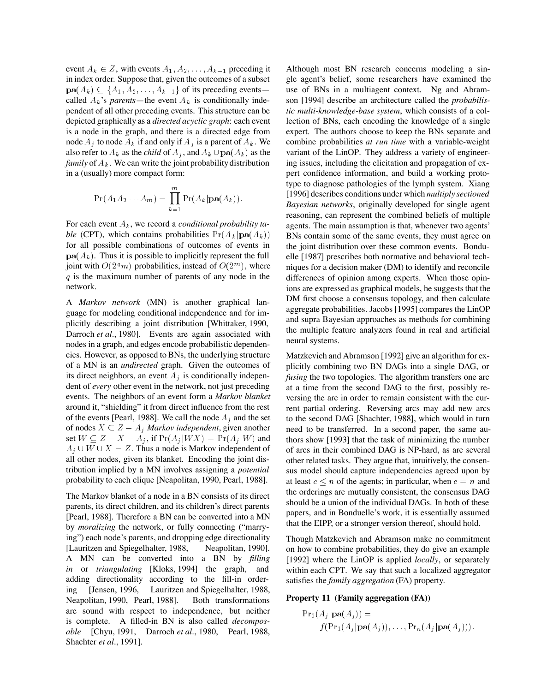event  $A_k \in \mathbb{Z}$ , with events  $A_1, A_2, \ldots, A_{k-1}$  preceding it in index order. Suppose that, given the outcomes of a subset  $\mathbf{pa}(A_k) \subseteq \{A_1, A_2, \ldots, A_{k-1}\}\$  of its preceding events called  $A_k$ 's *parents*—the event  $A_k$  is conditionally independent of all other preceding events. This structure can be depicted graphically as a *directed acyclic graph*: each event is a node in the graph, and there is a directed edge from node  $A_i$  to node  $A_k$  if and only if  $A_i$  is a parent of  $A_k$ . We also refer to  $A_k$  as the *child* of  $A_j$ , and  $A_k \cup \textbf{pa}(A_k)$  as the *family* of  $A_k$ . We can write the joint probability distribution in a (usually) more compact form:

$$
Pr(A_1A_2\cdots A_m)=\prod_{k=1}^m Pr(A_k|\mathbf{pa}(A_k)).
$$

For each event Ak, we record a *conditional probability table* (CPT), which contains probabilities  $Pr(A_k | pa(A_k))$ for all possible combinations of outcomes of events in  $p\mathbf{a}(A_k)$ . Thus it is possible to implicitly represent the full joint with  $O(2^m)$  probabilities, instead of  $O(2^m)$ , where  $q$  is the maximum number of parents of any node in the network.

A *Markov network* (MN) is another graphical language for modeling conditional independence and for implicitly describing a joint distribution [Whittaker, 1990, Darroch *et al.*, 1980]. Events are again associated with nodes in a graph, and edges encode probabilistic dependencies. However, as opposed to BNs, the underlying structure of a MN is an *undirected* graph. Given the outcomes of its direct neighbors, an event  $A_i$  is conditionally independent of *every* other event in the network, not just preceding events. The neighbors of an event form a *Markov blanket* around it, "shielding" it from direct influence from the rest of the events [Pearl, 1988]. We call the node  $A_i$  and the set of nodes  $X \subseteq Z - A_j$  *Markov independent*, given another set  $W \subseteq Z - X - A_i$ , if  $Pr(A_i|WX) = Pr(A_i|W)$  and  $A_i \cup W \cup X = Z$ . Thus a node is Markov independent of all other nodes, given its blanket. Encoding the joint distribution implied by a MN involves assigning a *potential* probability to each clique [Neapolitan, 1990, Pearl, 1988].

The Markov blanket of a node in a BN consists of its direct parents, its direct children, and its children's direct parents [Pearl, 1988]. Therefore a BN can be converted into a MN by *moralizing* the network, or fully connecting ("marrying") each node's parents, and dropping edge directionality [Lauritzen and Spiegelhalter, 1988, Neapolitan, 1990]. A MN can be converted into a BN by *filling in* or *triangulating* [Kloks, 1994] the graph, and adding directionality according to the fill-in ordering [Jensen, 1996, Lauritzen and Spiegelhalter, 1988, Neapolitan, 1990, Pearl, 1988]. Both transformations are sound with respect to independence, but neither is complete. A filled-in BN is also called *decomposable* [Chyu, 1991, Darroch *et al.*, 1980, Pearl, 1988, Shachter *et al.*, 1991].

Although most BN research concerns modeling a single agent's belief, some researchers have examined the use of BNs in a multiagent context. Ng and Abramson [1994] describe an architecture called the *probabilistic multi-knowledge-base system*, which consists of a collection of BNs, each encoding the knowledge of a single expert. The authors choose to keep the BNs separate and combine probabilities *at run time* with a variable-weight variant of the LinOP. They address a variety of engineering issues, including the elicitation and propagation of expert confidence information, and build a working prototype to diagnose pathologies of the lymph system. Xiang [1996] describes conditions under which *multiply sectioned Bayesian networks*, originally developed for single agent reasoning, can represent the combined beliefs of multiple agents. The main assumption is that, whenever two agents' BNs contain some of the same events, they must agree on the joint distribution over these common events. Bonduelle [1987] prescribes both normative and behavioral techniques for a decision maker (DM) to identify and reconcile differences of opinion among experts. When those opinions are expressed as graphical models, he suggests that the DM first choose a consensus topology, and then calculate aggregate probabilities. Jacobs [1995] compares the LinOP and supra Bayesian approaches as methods for combining the multiple feature analyzers found in real and artificial neural systems.

Matzkevich and Abramson [1992] give an algorithm for explicitly combining two BN DAGs into a single DAG, or *fusing* the two topologies. The algorithm transfers one arc at a time from the second DAG to the first, possibly reversing the arc in order to remain consistent with the current partial ordering. Reversing arcs may add new arcs to the second DAG [Shachter, 1988], which would in turn need to be transferred. In a second paper, the same authors show [1993] that the task of minimizing the number of arcs in their combined DAG is NP-hard, as are several other related tasks. They argue that, intuitively, the consensus model should capture independencies agreed upon by at least  $c \leq n$  of the agents; in particular, when  $c = n$  and the orderings are mutually consistent, the consensus DAG should be a union of the individual DAGs. In both of these papers, and in Bonduelle's work, it is essentially assumed that the EIPP, or a stronger version thereof, should hold.

Though Matzkevich and Abramson make no commitment on how to combine probabilities, they do give an example [1992] where the LinOP is applied *locally*, or separately within each CPT. We say that such a localized aggregator satisfies the *family aggregation* (FA) property.

#### **Property 11 (Family aggregation (FA))**

$$
Pr_0(A_j | \mathbf{pa}(A_j)) =
$$
  

$$
f(Pr_1(A_j | \mathbf{pa}(A_j)), \ldots, Pr_n(A_j | \mathbf{pa}(A_j))).
$$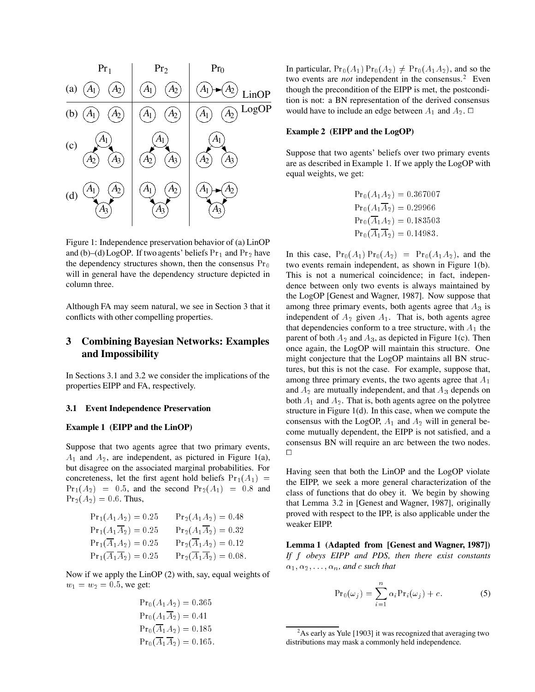

Figure 1: Independence preservation behavior of (a) LinOP and (b)–(d) LogOP. If two agents' beliefs  $Pr_1$  and  $Pr_2$  have the dependency structures shown, then the consensus  $Pr_0$ will in general have the dependency structure depicted in column three.

Although FA may seem natural, we see in Section 3 that it conflicts with other compelling properties.

## **3 Combining Bayesian Networks: Examples and Impossibility**

In Sections 3.1 and 3.2 we consider the implications of the properties EIPP and FA, respectively.

### **3.1 Event Independence Preservation**

#### **Example 1 (EIPP and the LinOP)**

Suppose that two agents agree that two primary events,  $A_1$  and  $A_2$ , are independent, as pictured in Figure 1(a), but disagree on the associated marginal probabilities. For concreteness, let the first agent hold beliefs  $Pr_1(A_1)$  =  $Pr_1(A_2) = 0.5$ , and the second  $Pr_2(A_1) = 0.8$  and  $Pr_2(A_2) = 0.6$ . Thus,

| $Pr_1(A_1A_2)=0.25$                       | $Pr_2(A_1A_2) = 0.48$                      |
|-------------------------------------------|--------------------------------------------|
| $Pr_1(A_1\overline{A}_2)=0.25$            | $Pr_2(A_1\overline{A}_2)=0.32$             |
| $Pr_1(\overline{A}_1A_2)=0.25$            | $Pr_2(\overline{A}_1A_2) = 0.12$           |
| $Pr_1(\overline{A_1}\overline{A_2})=0.25$ | $Pr_2(\overline{A_1}\overline{A_2})=0.08.$ |

Now if we apply the LinOP (2) with, say, equal weights of  $w_1 = w_2 = 0.5$ , we get:

$$
Pr_0(A_1A_2) = 0.365
$$
  
\n
$$
Pr_0(A_1\overline{A}_2) = 0.41
$$
  
\n
$$
Pr_0(\overline{A}_1A_2) = 0.185
$$
  
\n
$$
Pr_0(\overline{A}_1\overline{A}_2) = 0.165.
$$

In particular,  $Pr_0(A_1) Pr_0(A_2) \neq Pr_0(A_1A_2)$ , and so the two events are *not* independent in the consensus.<sup>2</sup> Even though the precondition of the EIPP is met, the postcondition is not: a BN representation of the derived consensus would have to include an edge between  $A_1$  and  $A_2$ .  $\Box$ 

#### **Example 2 (EIPP and the LogOP)**

Suppose that two agents' beliefs over two primary events are as described in Example 1. If we apply the LogOP with equal weights, we get:

$$
Pr_0(A_1A_2) = 0.367007
$$
  
\n
$$
Pr_0(A_1A_2) = 0.29966
$$
  
\n
$$
Pr_0(\overline{A_1A_2}) = 0.183503
$$
  
\n
$$
Pr_0(\overline{A_1A_2}) = 0.14983.
$$

In this case,  $Pr_0(A_1) Pr_0(A_2) = Pr_0(A_1A_2)$ , and the two events remain independent, as shown in Figure 1(b). This is not a numerical coincidence; in fact, independence between only two events is always maintained by the LogOP [Genest and Wagner, 1987]. Now suppose that among three primary events, both agents agree that  $A_3$  is independent of  $A_2$  given  $A_1$ . That is, both agents agree that dependencies conform to a tree structure, with  $A_1$  the parent of both  $A_2$  and  $A_3$ , as depicted in Figure 1(c). Then once again, the LogOP will maintain this structure. One might conjecture that the LogOP maintains all BN structures, but this is not the case. For example, suppose that, among three primary events, the two agents agree that  $A_1$ and  $A_2$  are mutually independent, and that  $A_3$  depends on both  $A_1$  and  $A_2$ . That is, both agents agree on the polytree structure in Figure 1(d). In this case, when we compute the consensus with the LogOP,  $A_1$  and  $A_2$  will in general become mutually dependent, the EIPP is not satisfied, and a consensus BN will require an arc between the two nodes.  $\Box$ 

Having seen that both the LinOP and the LogOP violate the EIPP, we seek a more general characterization of the class of functions that do obey it. We begin by showing that Lemma 3.2 in [Genest and Wagner, 1987], originally proved with respect to the IPP, is also applicable under the weaker EIPP.

**Lemma 1 (Adapted from [Genest and Wagner, 1987])** *If* f *obeys EIPP and PDS, then there exist constants*  $\alpha_1, \alpha_2, \ldots, \alpha_n$ , and c such that

$$
Pr_0(\omega_j) = \sum_{i=1}^n \alpha_i Pr_i(\omega_j) + c.
$$
 (5)

 $2$ As early as Yule [1903] it was recognized that averaging two distributions may mask a commonly held independence.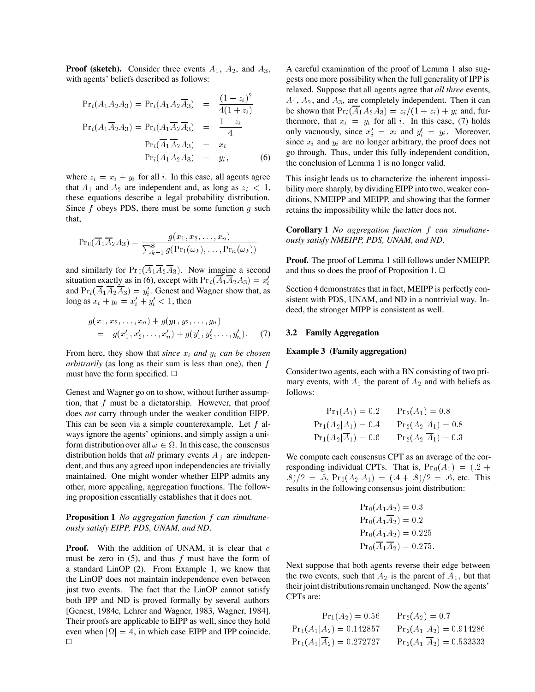**Proof (sketch).** Consider three events  $A_1$ ,  $A_2$ , and  $A_3$ , with agents' beliefs described as follows:

$$
Pr_i(A_1 A_2 A_3) = Pr_i(A_1 A_2 \overline{A}_3) = \frac{(1 - z_i)^2}{4(1 + z_i)}
$$
  
\n
$$
Pr_i(A_1 \overline{A}_2 A_3) = Pr_i(A_1 \overline{A}_2 \overline{A}_3) = \frac{1 - z_i}{4}
$$
  
\n
$$
Pr_i(\overline{A}_1 \overline{A}_2 A_3) = x_i
$$
  
\n
$$
Pr_i(\overline{A}_1 \overline{A}_2 \overline{A}_3) = y_i,
$$
 (6)

where  $z_i = x_i + y_i$  for all i. In this case, all agents agree that  $A_1$  and  $A_2$  are independent and, as long as  $z_i < 1$ , these equations describe a legal probability distribution. Since  $f$  obeys PDS, there must be some function  $g$  such that,

$$
\mathrm{Pr}_0(\overline{A}_1 \overline{A}_2 A_3) = \frac{g(x_1, x_2, \dots, x_n)}{\sum_{k=1}^8 g(\mathrm{Pr}_1(\omega_k), \dots, \mathrm{Pr}_n(\omega_k))}
$$

and similarly for  $Pr_0(A_1A_2A_3)$ . Now imagine a second situation exactly as in (6), except with  $Pr_i(\overline{A}_1\overline{A}_2A_3) = x'_i$ and  $Pr_i(\overline{A}_1 \overline{A}_2 \overline{A}_3) = y'_i$ . Genest and Wagner show that, as long as  $x_i + y_i = x'_i + y'_i < 1$ , then

$$
g(x_1, x_2, \ldots, x_n) + g(y_1, y_2, \ldots, y_n)
$$
  
=  $g(x'_1, x'_2, \ldots, x'_n) + g(y'_1, y'_2, \ldots, y'_n).$  (7)

From here, they show that *since*  $x_i$  *and*  $y_i$  *can be chosen arbitrarily* (as long as their sum is less than one), then f must have the form specified.  $\Box$ 

Genest and Wagner go on to show, without further assumption, that  $f$  must be a dictatorship. However, that proof does *not* carry through under the weaker condition EIPP. This can be seen via a simple counterexample. Let f always ignore the agents' opinions, and simply assign a uniform distribution over all  $\omega \in \Omega$ . In this case, the consensus distribution holds that  $all$  primary events  $A_j$  are independent, and thus any agreed upon independencies are trivially maintained. One might wonder whether EIPP admits any other, more appealing, aggregation functions. The following proposition essentially establishes that it does not.

**Proposition 1** *No aggregation function* f *can simultaneously satisfy EIPP, PDS, UNAM, and ND.*

**Proof.** With the addition of UNAM, it is clear that c must be zero in  $(5)$ , and thus f must have the form of a standard LinOP (2). From Example 1, we know that the LinOP does not maintain independence even between just two events. The fact that the LinOP cannot satisfy both IPP and ND is proved formally by several authors [Genest, 1984c, Lehrer and Wagner, 1983, Wagner, 1984]. Their proofs are applicable to EIPP as well, since they hold even when  $|\Omega| = 4$ , in which case EIPP and IPP coincide.  $\Box$ 

A careful examination of the proof of Lemma 1 also suggests one more possibility when the full generality of IPP is relaxed. Suppose that all agents agree that *all three* events,  $A_1$ ,  $A_2$ , and  $A_3$ , are completely independent. Then it can be shown that  $Pr_i(\overline{A}_1A_2A_3) = z_i/(1+z_i) + y_i$  and, furthermore, that  $x_i = y_i$  for all i. In this case, (7) holds only vacuously, since  $x'_i = x_i$  and  $y'_i = y_i$ . Moreover, since  $x_i$  and  $y_i$  are no longer arbitrary, the proof does not go through. Thus, under this fully independent condition, the conclusion of Lemma 1 is no longer valid.

This insight leads us to characterize the inherent impossibility more sharply, by dividing EIPP into two, weaker conditions, NMEIPP and MEIPP, and showing that the former retains the impossibility while the latter does not.

**Corollary 1** *No aggregation function* f *can simultaneously satisfy NMEIPP, PDS, UNAM, and ND.*

**Proof.** The proof of Lemma 1 still follows under NMEIPP, and thus so does the proof of Proposition 1.  $\Box$ 

Section 4 demonstrates that in fact, MEIPP is perfectly consistent with PDS, UNAM, and ND in a nontrivial way. Indeed, the stronger MIPP is consistent as well.

### **3.2 Family Aggregation**

#### **Example 3 (Family aggregation)**

Consider two agents, each with a BN consisting of two primary events, with  $A_1$  the parent of  $A_2$  and with beliefs as follows:

$$
Pr_1(A_1) = 0.2 \t\t Pr_2(A_1) = 0.8
$$
  
\n
$$
Pr_1(A_2|A_1) = 0.4 \t\t Pr_2(A_2|A_1) = 0.8
$$
  
\n
$$
Pr_1(A_2|\overline{A}_1) = 0.6 \t\t Pr_2(A_2|\overline{A}_1) = 0.3
$$

We compute each consensus CPT as an average of the corresponding individual CPTs. That is,  $Pr_0(A_1) = (0.2 + 1.2)$  $(8)/2 = 0.5$ ,  $Pr_0(A_2|A_1) = (0.4 + 0.8)/2 = 0.6$ , etc. This results in the following consensus joint distribution:

$$
Pr_0(A_1A_2) = 0.3
$$
  
\n
$$
Pr_0(A_1A_2) = 0.2
$$
  
\n
$$
Pr_0(\overline{A_1}A_2) = 0.225
$$
  
\n
$$
Pr_0(\overline{A_1}\overline{A_2}) = 0.275.
$$

Next suppose that both agents reverse their edge between the two events, such that  $A_2$  is the parent of  $A_1$ , but that their joint distributions remain unchanged. Now the agents' CPTs are:

$$
Pr_1(A_2) = 0.56 \t Pr_2(A_2) = 0.7
$$
  
\n
$$
Pr_1(A_1|A_2) = 0.142857 \t Pr_2(A_1|A_2) = 0.914286
$$
  
\n
$$
Pr_1(A_1|\overline{A_2}) = 0.272727 \t Pr_2(A_1|\overline{A_2}) = 0.533333
$$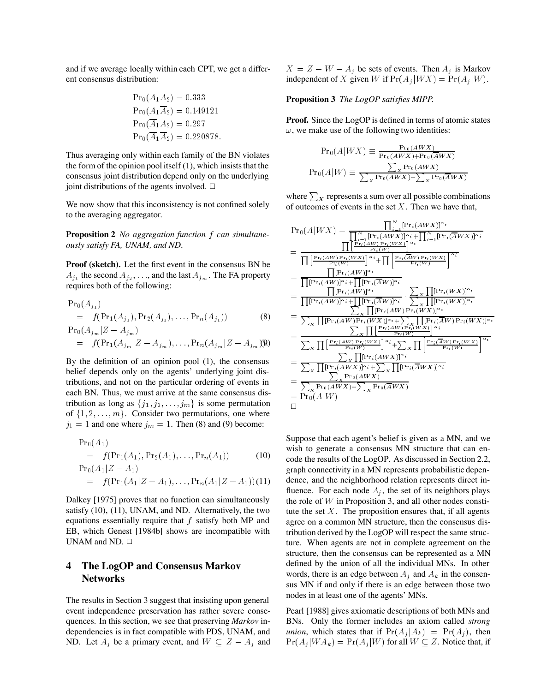and if we average locally within each CPT, we get a different consensus distribution:

$$
Pr_0(A_1A_2) = 0.333
$$
  
\n
$$
Pr_0(A_1\overline{A}_2) = 0.149121
$$
  
\n
$$
Pr_0(\overline{A}_1A_2) = 0.297
$$
  
\n
$$
Pr_0(\overline{A}_1\overline{A}_2) = 0.220878.
$$

Thus averaging only within each family of the BN violates the form of the opinion pool itself (1), which insists that the consensus joint distribution depend only on the underlying joint distributions of the agents involved.

We now show that this inconsistency is not confined solely to the averaging aggregator.

**Proposition 2** *No aggregation function* <sup>f</sup> *can simultaneously satisfy FA, UNAM, and ND.*

**Proof (sketch).** Let the first event in the consensus BN be  $A_{j_1}$  the second  $A_{j_2}, \ldots$ , and the last  $A_{j_m}$ . The FA property requires both of the following:

$$
Pr_{0}(A_{j_1})
$$
  
=  $f(Pr_{1}(A_{j_1}), Pr_{2}(A_{j_1}),..., Pr_{n}(A_{j_1}))$  (8)  

$$
Pr_{0}(A_{j_m} | Z - A_{j_m})
$$

$$
= f(\Pr_1(A_{j_m} | Z - A_{j_m}), \ldots, \Pr_n(A_{j_m} | Z - A_{j_m}))
$$

By the definition of an opinion pool (1), the consensus belief depends only on the agents' underlying joint distributions, and not on the particular ordering of events in each BN. Thus, we must arrive at the same consensus distribution as long as  $\{j_1, j_2, \ldots, j_m\}$  is some permutation of  $\{1, 2, \ldots, m\}$ . Consider two permutations, one where  $j_1 = 1$  and one where  $j_m = 1$ . Then (8) and (9) become:

$$
\Pr_{0}(A_1) = f(\Pr_{1}(A_1), \Pr_{2}(A_1), \dots, \Pr_{n}(A_1))
$$
(10)

$$
\Pr_0(A_1|Z - A_1) = f(\Pr_1(A_1|Z - A_1), \ldots, \Pr_n(A_1|Z - A_1))(11)
$$

Dalkey [1975] proves that no function can simultaneously satisfy (10), (11), UNAM, and ND. Alternatively, the two equations essentially require that  $f$  satisfy both MP and EB, which Genest [1984b] shows are incompatible with UNAM and ND.

## **4 The LogOP and Consensus Markov Networks**

The results in Section 3 suggest that insisting upon general event independence preservation has rather severe consequences. In this section, we see that preserving *Markov* independencies is in fact compatible with PDS, UNAM, and ND. Let  $A_j$  be a primary event, and  $W \subseteq Z - A_j$  and  $X = Z - W - A_i$  be sets of events. Then  $A_i$  is Markov independent of X given W if  $Pr(A_j | W X) = Pr(A_j | W)$ .

### **Proposition 3** *The LogOP satisfies MIPP.*

**Proof.** Since the LogOP is defined in terms of atomic states  $\omega$ , we make use of the following two identities:

$$
Pr_0(A|WX) \equiv \frac{Pr_0(AWX)}{Pr_0(AWX) + Pr_0(\overline{AWX})}
$$

$$
Pr_0(A|W) \equiv \frac{\sum_{X} Pr_0(AWX)}{\sum_{X} Pr_0(AWX) + \sum_{X} Pr_0(\overline{AWX})}
$$

where  $\sum_{X}$  represents a sum over all possible combinations of outcomes of events in the set  $X$ . Then we have that,

$$
Pr_{0}(A|WX) = \frac{\prod_{i=1}^{N} [Pr_{i}(AWX)]^{\alpha_{i}}}{\prod_{i=1}^{N} [Pr_{i}(AW)|^{\alpha_{i}} + \prod_{i=1}^{N} [Pr_{i}(\overline{A}WX)]^{\alpha_{i}}}
$$
\n
$$
= \frac{\prod_{i=1}^{N} [Pr_{i}(AW)|^{\alpha_{i}} + \prod_{i=1}^{N} [Pr_{i}(\overline{A}WX)]^{\alpha_{i}}}{\prod_{i=1}^{N} [Pr_{i}(AW)|^{\alpha_{i}} + \prod_{i=1}^{N} [Pr_{i}(\overline{A}W)|^{\alpha_{i}} + \prod_{i=1}^{N} [Pr_{i}(\overline{A}W)|^{\alpha_{i}}]}
$$
\n
$$
= \frac{\prod_{i=1}^{N} [Pr_{i}(AW)|^{\alpha_{i}} + \prod_{i=1}^{N} [Pr_{i}(\overline{A}W)|^{\alpha_{i}}}{\prod_{i=1}^{N} [Pr_{i}(AW)|^{\alpha_{i}} + \prod_{i=1}^{N} [Pr_{i}(\overline{A}W)|^{\alpha_{i}} + \prod_{i=1}^{N} [Pr_{i}(WX)|^{\alpha_{i}} + \prod_{i=1}^{N} [Pr_{i}(AW)|^{\alpha_{i}} + \prod_{i=1}^{N} [Pr_{i}(AW)|^{\alpha_{i}} + \prod_{i=1}^{N} [Pr_{i}(AW)|^{\alpha_{i}} + \prod_{i=1}^{N} [Pr_{i}(WW)|^{\alpha_{i}} + \prod_{i=1}^{N} [Pr_{i}(AW)|^{\alpha_{i}} + \prod_{i=1}^{N} [Pr_{i}(AW)|^{\alpha_{i}} + \prod_{i=1}^{N} [Pr_{i}(AW)|^{\alpha_{i}} + \prod_{i=1}^{N} [Pr_{i}(AW)|^{\alpha_{i}} + \sum_{i=1}^{N} [Pr_{i}(AW)|^{\alpha_{i}} + \sum_{i=1}^{N} [Pr_{i}(AW)|^{\alpha_{i}} + \prod_{i=1}^{N} [Pr_{i}(AW)|^{\alpha_{i}} + \prod_{i=1}^{N} [Pr_{i}(AW)|^{\alpha_{i}} + \prod_{i=1}^{N} [Pr_{i}(AW)|^{\alpha_{i}} + \prod_{i=1}^{N} [Pr_{i}(AW)|^{\alpha_{i}} + \prod_{i=1}^{N} [Pr_{i}(AW)|^{\alpha_{i}} + \prod_{i=1}^{N} [Pr_{i
$$

Suppose that each agent's belief is given as a MN, and we wish to generate a consensus MN structure that can encode the results of the LogOP. As discussed in Section 2.2, graph connectivity in a MN represents probabilistic dependence, and the neighborhood relation represents direct influence. For each node  $A_i$ , the set of its neighbors plays the role of  $W$  in Proposition 3, and all other nodes constitute the set  $X$ . The proposition ensures that, if all agents agree on a common MN structure, then the consensus distribution derived by the LogOP will respect the same structure. When agents are not in complete agreement on the structure, then the consensus can be represented as a MN defined by the union of all the individual MNs. In other words, there is an edge between  $A_i$  and  $A_k$  in the consensus MN if and only if there is an edge between those two nodes in at least one of the agents' MNs.

Pearl [1988] gives axiomatic descriptions of both MNs and BNs. Only the former includes an axiom called *strong union*, which states that if  $Pr(A_j | A_k) = Pr(A_j)$ , then  $Pr(A_j|WA_k) = Pr(A_j|W)$  for all  $W \subseteq Z$ . Notice that, if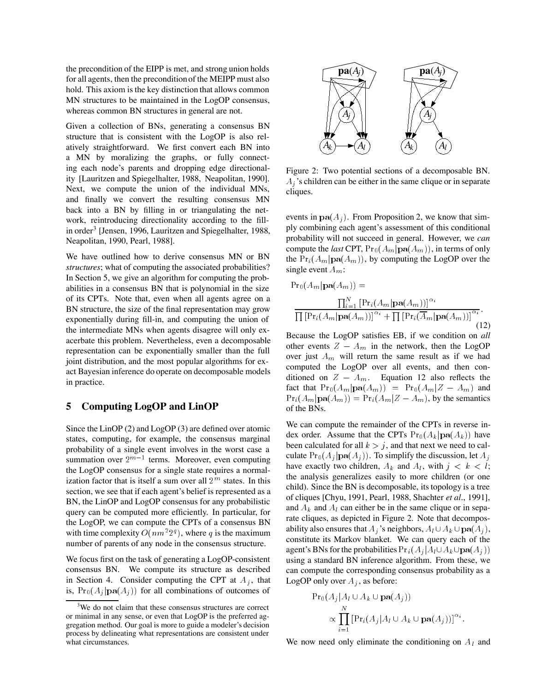the precondition of the EIPP is met, and strong union holds for all agents, then the preconditionof the MEIPP must also hold. This axiom is the key distinction that allows common MN structures to be maintained in the LogOP consensus, whereas common BN structures in general are not.

Given a collection of BNs, generating a consensus BN structure that is consistent with the LogOP is also relatively straightforward. We first convert each BN into a MN by moralizing the graphs, or fully connecting each node's parents and dropping edge directionality [Lauritzen and Spiegelhalter, 1988, Neapolitan, 1990]. Next, we compute the union of the individual MNs, and finally we convert the resulting consensus MN back into a BN by filling in or triangulating the network, reintroducing directionality according to the fillin order<sup>3</sup> [Jensen, 1996, Lauritzen and Spiegelhalter, 1988, Neapolitan, 1990, Pearl, 1988].

We have outlined how to derive consensus MN or BN *structures*; what of computing the associated probabilities? In Section 5, we give an algorithm for computing the probabilities in a consensus BN that is polynomial in the size of its CPTs. Note that, even when all agents agree on a BN structure, the size of the final representation may grow exponentially during fill-in, and computing the union of the intermediate MNs when agents disagree will only exacerbate this problem. Nevertheless, even a decomposable representation can be exponentially smaller than the full joint distribution, and the most popular algorithms for exact Bayesian inference do operate on decomposable models in practice.

## **5 Computing LogOP and LinOP**

Since the LinOP (2) and LogOP (3) are defined over atomic states, computing, for example, the consensus marginal probability of a single event involves in the worst case a summation over  $2^{m-1}$  terms. Moreover, even computing the LogOP consensus for a single state requires a normalization factor that is itself a sum over all  $2^m$  states. In this section, we see that if each agent's belief is represented as a BN, the LinOP and LogOP consensus for any probabilistic query can be computed more efficiently. In particular, for the LogOP, we can compute the CPTs of a consensus BN with time complexity  $O(nm^2 2^q)$ , where q is the maximum number of parents of any node in the consensus structure.

We focus first on the task of generating a LogOP-consistent consensus BN. We compute its structure as described in Section 4. Consider computing the CPT at  $A_i$ , that is,  $Pr_0(A_j | \textbf{pa}(A_j))$  for all combinations of outcomes of



Figure 2: Two potential sections of a decomposable BN.  $A_i$ 's children can be either in the same clique or in separate cliques.

events in  $p\mathbf{a}(A_i)$ . From Proposition 2, we know that simply combining each agent's assessment of this conditional probability will not succeed in general. However, we *can* compute the *last* CPT,  $Pr_0(A_m | \textbf{pa}(A_m))$ , in terms of only the  $Pr_i(A_m | pa(A_m))$ , by computing the LogOP over the single event  $A_m$ :

$$
Pr_0(A_m|\mathbf{pa}(A_m)) = \frac{\prod_{i=1}^N \left[Pr_i(A_m|\mathbf{pa}(A_m))\right]^{\alpha_i}}{\prod \left[Pr_i(A_m|\mathbf{pa}(A_m))\right]^{\alpha_i} + \prod \left[Pr_i(\overline{A}_m|\mathbf{pa}(A_m))\right]^{\alpha_i}}
$$
\n(12)

Because the LogOP satisfies EB, if we condition on *all* other events  $Z - A_m$  in the network, then the LogOP over just  $A_m$  will return the same result as if we had computed the LogOP over all events, and then conditioned on  $Z - A_m$ . Equation 12 also reflects the fact that  $Pr_0(A_m|pa(A_m)) = Pr_0(A_m|Z - A_m)$  and  $Pr_i(A_m|pa(A_m)) = Pr_i(A_m|Z - A_m)$ , by the semantics of the BNs.

We can compute the remainder of the CPTs in reverse index order. Assume that the CPTs  $Pr_0(A_k | \mathbf{pa}(A_k))$  have been calculated for all  $k > j$ , and that next we need to calculate  $Pr_0(A_i | \textbf{pa}(A_j))$ . To simplify the discussion, let  $A_j$ have exactly two children,  $A_k$  and  $A_l$ , with  $j < k < l$ ; the analysis generalizes easily to more children (or one child). Since the BN is decomposable, its topology is a tree of cliques [Chyu, 1991, Pearl, 1988, Shachter *et al.*, 1991], and  $A_k$  and  $A_l$  can either be in the same clique or in separate cliques, as depicted in Figure 2. Note that decomposability also ensures that  $A_j$ 's neighbors,  $A_l \cup A_k \cup \textbf{pa}(A_j)$ , constitute its Markov blanket. We can query each of the agent's BNs for the probabilities  $Pr_i(A_i|A_i \cup A_k \cup pa(A_i))$ using a standard BN inference algorithm. From these, we can compute the corresponding consensus probability as a LogOP only over  $A_j$ , as before:

$$
\Pr_0(A_j | A_l \cup A_k \cup \mathbf{pa}(A_j))
$$
  
 
$$
\propto \prod_{i=1}^N \left[ \Pr_i(A_j | A_l \cup A_k \cup \mathbf{pa}(A_j)) \right]^{\alpha_i}.
$$

We now need only eliminate the conditioning on  $A_l$  and

<sup>&</sup>lt;sup>3</sup>We do not claim that these consensus structures are correct or minimal in any sense, or even that LogOP is the preferred aggregation method. Our goal is more to guide a modeler's decision process by delineating what representations are consistent under what circumstances.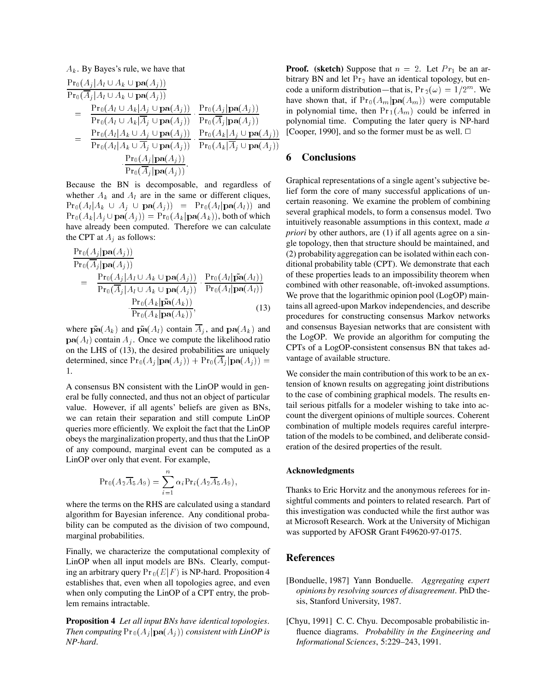$$
A_k. By Bayes's rule, we have that\n
$$
\frac{\Pr_0(A_j | A_l \cup A_k \cup \mathbf{pa}(A_j))}{\Pr_0(\overline{A}_j | A_l \cup A_k \cup \mathbf{pa}(A_j))} = \frac{\Pr_0(A_l \cup A_k | A_j \cup \mathbf{pa}(A_j))}{\Pr_0(A_l \cup A_k | \overline{A}_j \cup \mathbf{pa}(A_j))} \cdot \frac{\Pr_0(A_j | \mathbf{pa}(A_j))}{\Pr_0(\overline{A}_j | \mathbf{pa}(A_j))} \text{ in } \n
$$
= \frac{\Pr_0(A_l | A_k \cup A_j \cup \mathbf{pa}(A_j))}{\Pr_0(A_l | A_k \cup \overline{A}_j \cup \mathbf{pa}(A_j))} \cdot \frac{\Pr_0(A_k | A_j \cup \mathbf{pa}(A_j))}{\Pr_0(A_k | \overline{A}_j \cup \mathbf{pa}(A_j))} \cdot \frac{\Pr_0(A_k | A_j \cup \mathbf{pa}(A_j))}{\Pr_0(\overline{A}_j | \mathbf{pa}(A_j))}.
$$
$$
$$

Because the BN is decomposable, and regardless of whether  $A_k$  and  $A_l$  are in the same or different cliques,  $\Pr_0(A_l|A_k \cup A_j \cup \textbf{pa}(A_j)) = \Pr_0(A_l|\textbf{pa}(A_l))$  and  $Pr_0(A_k|A_j \cup \mathbf{pa}(A_j)) = Pr_0(A_k|\mathbf{pa}(A_k))$ , both of which have already been computed. Therefore we can calculate the CPT at  $A_i$  as follows:

$$
\frac{\Pr_{0}(A_{j}|\mathbf{pa}(A_{j}))}{\Pr_{0}(\overline{A}_{j}|\mathbf{pa}(A_{j}))} = \frac{\Pr_{0}(A_{j}|A_{l} \cup A_{k} \cup \mathbf{pa}(A_{j}))}{\Pr_{0}(\overline{A}_{j}|A_{l} \cup A_{k} \cup \mathbf{pa}(A_{j}))} \cdot \frac{\Pr_{0}(A_{l}|\tilde{\mathbf{pa}}(A_{l}))}{\Pr_{0}(A_{l}|\mathbf{pa}(A_{l}))} \cdot \frac{\Pr_{0}(A_{k}|\tilde{\mathbf{pa}}(A_{k}))}{\Pr_{0}(A_{k}|\mathbf{pa}(A_{k}))},
$$
\n(13)

where  $\tilde{\mathbf{pa}}(A_k)$  and  $\tilde{\mathbf{pa}}(A_l)$  contain  $\overline{A}_j$ , and  $\mathbf{pa}(A_k)$  and  $\mathbf{pa}(A_l)$  contain  $A_j$ . Once we compute the likelihood ratio on the LHS of (13), the desired probabilities are uniquely determined, since  $Pr_0(A_i | \mathbf{pa}(A_i)) + Pr_0(A_i | \mathbf{pa}(A_i)) =$  V<sub>i</sub> .

A consensus BN consistent with the LinOP would in general be fully connected, and thus not an object of particular value. However, if all agents' beliefs are given as BNs, we can retain their separation and still compute LinOP queries more efficiently. We exploit the fact that the LinOP obeys the marginalization property, and thus that the LinOP of any compound, marginal event can be computed as a LinOP over only that event. For example,

$$
\mathrm{Pr}_0(A_2\overline{A}_5A_9)=\sum_{i=1}^n\alpha_i\mathrm{Pr}_i(A_2\overline{A}_5A_9),
$$

where the terms on the RHS are calculated using a standard algorithm for Bayesian inference. Any conditional probability can be computed as the division of two compound, marginal probabilities.

Finally, we characterize the computational complexity of LinOP when all input models are BNs. Clearly, computing an arbitrary query  $Pr_0(E|F)$  is NP-hard. Proposition 4 establishes that, even when all topologies agree, and even when only computing the LinOP of a CPT entry, the problem remains intractable.

**Proposition 4** *Let all input BNs have identical topologies.* Then computing  $\Pr_0(A_j | \mathbf{pa}(A_j))$  consistent with LinOP is *NP-hard.*

**Proof.** (sketch) Suppose that  $n = 2$ . Let  $Pr_1$  be an arbitrary BN and let  $Pr_2$  have an identical topology, but encode a uniform distribution—that is,  $Pr_2(\omega) = 1/2^m$ . We have shown that, if  $Pr_0(A_m | \mathbf{pa}(A_m))$  were computable in polynomial time, then  $Pr_1(A_m)$  could be inferred in polynomial time. Computing the later query is NP-hard [Cooper, 1990], and so the former must be as well.  $\Box$ 

## **6 Conclusions**

Graphical representations of a single agent's subjective belief form the core of many successful applications of uncertain reasoning. We examine the problem of combining several graphical models, to form a consensus model. Two intuitively reasonable assumptions in this context, made *a priori* by other authors, are (1) if all agents agree on a single topology, then that structure should be maintained, and (2) probabilityaggregation can be isolated within each conditional probability table (CPT). We demonstrate that each of these properties leads to an impossibility theorem when combined with other reasonable, oft-invoked assumptions. We prove that the logarithmic opinion pool (LogOP) maintains all agreed-upon Markov independencies, and describe procedures for constructing consensus Markov networks and consensus Bayesian networks that are consistent with the LogOP. We provide an algorithm for computing the CPTs of a LogOP-consistent consensus BN that takes advantage of available structure.

We consider the main contribution of this work to be an extension of known results on aggregating joint distributions to the case of combining graphical models. The results entail serious pitfalls for a modeler wishing to take into account the divergent opinions of multiple sources. Coherent combination of multiple models requires careful interpretation of the models to be combined, and deliberate consideration of the desired properties of the result.

#### **Acknowledgments**

Thanks to Eric Horvitz and the anonymous referees for insightful comments and pointers to related research. Part of this investigation was conducted while the first author was at Microsoft Research. Work at the University of Michigan was supported by AFOSR Grant F49620-97-0175.

## **References**

- [Bonduelle, 1987] Yann Bonduelle. *Aggregating expert opinions by resolving sources of disagreement*. PhD thesis, Stanford University, 1987.
- [Chyu, 1991] C. C. Chyu. Decomposable probabilistic influence diagrams. *Probability in the Engineering and Informational Sciences*, 5:229–243, 1991.